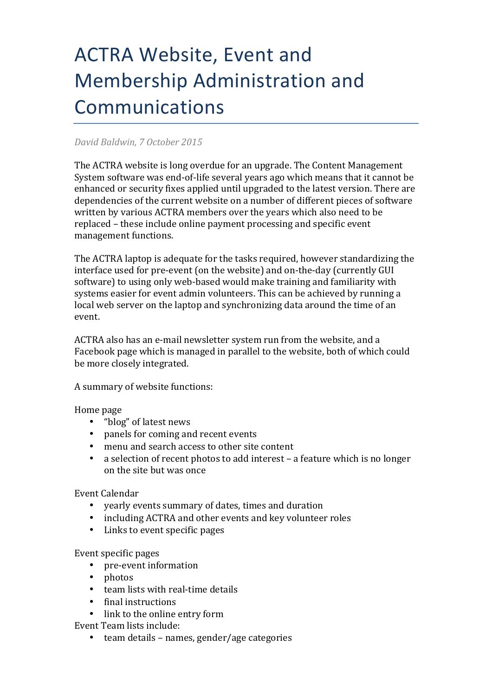## **ACTRA Website, Event and** Membership Administration and Communications

## *David Baldwin, 7 October 2015*

The ACTRA website is long overdue for an upgrade. The Content Management System software was end-of-life several vears ago which means that it cannot be enhanced or security fixes applied until upgraded to the latest version. There are dependencies of the current website on a number of different pieces of software written by various ACTRA members over the years which also need to be replaced – these include online payment processing and specific event management functions.

The ACTRA laptop is adequate for the tasks required, however standardizing the interface used for pre-event (on the website) and on-the-day (currently GUI software) to using only web-based would make training and familiarity with systems easier for event admin volunteers. This can be achieved by running a local web server on the laptop and synchronizing data around the time of an event.

ACTRA also has an e-mail newsletter system run from the website, and a Facebook page which is managed in parallel to the website, both of which could be more closely integrated.

A summary of website functions:

Home page

- "blog" of latest news
- panels for coming and recent events
- menu and search access to other site content
- a selection of recent photos to add interest a feature which is no longer on the site but was once

Event Calendar

- yearly events summary of dates, times and duration
- including ACTRA and other events and key volunteer roles
- Links to event specific pages

Event specific pages

- pre-event information
- photos
- team lists with real-time details
- final instructions
- link to the online entry form

Event Team lists include:

• team details – names, gender/age categories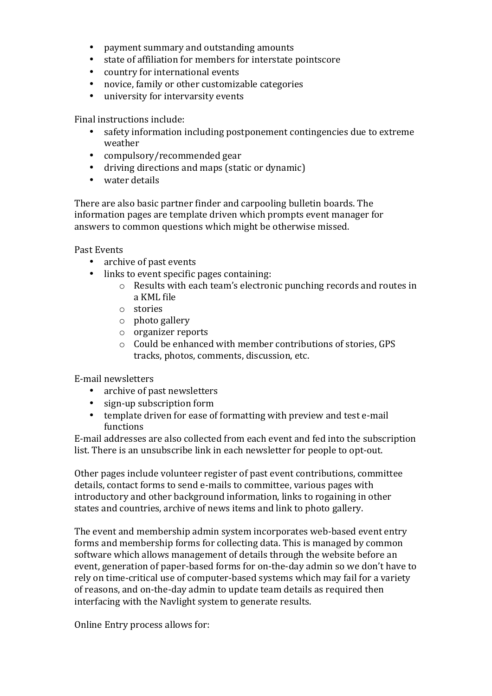- payment summary and outstanding amounts
- state of affiliation for members for interstate pointscore
- country for international events
- novice, family or other customizable categories
- university for intervarsity events

Final instructions include:

- safety information including postponement contingencies due to extreme weather
- compulsory/recommended gear
- driving directions and maps (static or dynamic)
- water details

There are also basic partner finder and carpooling bulletin boards. The information pages are template driven which prompts event manager for answers to common questions which might be otherwise missed.

Past Events

- archive of past events
- links to event specific pages containing:
	- $\circ$  Results with each team's electronic punching records and routes in a KML file
	- o stories
	- o photo gallery
	- o organizer reports
	- $\circ$  Could be enhanced with member contributions of stories, GPS tracks, photos, comments, discussion, etc.

E-mail newsletters

- archive of past newsletters
- sign-up subscription form
- template driven for ease of formatting with preview and test e-mail functions

E-mail addresses are also collected from each event and fed into the subscription list. There is an unsubscribe link in each newsletter for people to opt-out.

Other pages include volunteer register of past event contributions, committee details, contact forms to send e-mails to committee, various pages with introductory and other background information, links to rogaining in other states and countries, archive of news items and link to photo gallery.

The event and membership admin system incorporates web-based event entry forms and membership forms for collecting data. This is managed by common software which allows management of details through the website before an event, generation of paper-based forms for on-the-day admin so we don't have to rely on time-critical use of computer-based systems which may fail for a variety of reasons, and on-the-day admin to update team details as required then interfacing with the Navlight system to generate results.

Online Entry process allows for: